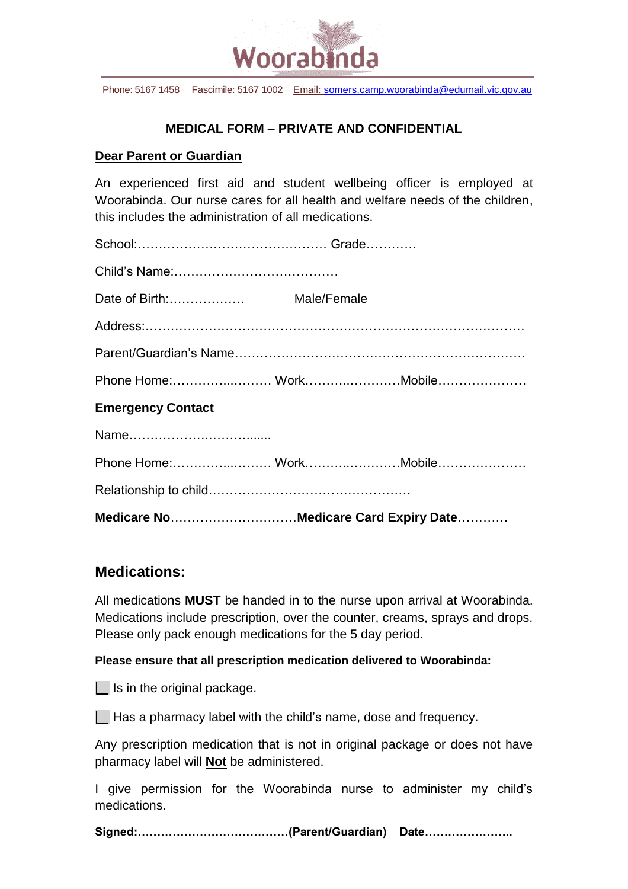

Phone: 5167 1458 Fascimile: 5167 1002 Email: [somers.camp.woorabinda@edumail.vic.gov.au](mailto:somers.camp.woorabinda@edumail.vic.gov.au)

### **MEDICAL FORM – PRIVATE AND CONFIDENTIAL**

#### **Dear Parent or Guardian**

An experienced first aid and student wellbeing officer is employed at Woorabinda. Our nurse cares for all health and welfare needs of the children, this includes the administration of all medications.

|                          | Medicare NoMedicare Card Expiry Date |  |
|--------------------------|--------------------------------------|--|
|                          |                                      |  |
| Phone Home: WorkMobile   |                                      |  |
|                          |                                      |  |
| <b>Emergency Contact</b> |                                      |  |
| Phone Home: WorkMobile   |                                      |  |
|                          |                                      |  |
|                          |                                      |  |
|                          |                                      |  |
|                          |                                      |  |
|                          |                                      |  |

## **Medications:**

All medications **MUST** be handed in to the nurse upon arrival at Woorabinda. Medications include prescription, over the counter, creams, sprays and drops. Please only pack enough medications for the 5 day period.

#### **Please ensure that all prescription medication delivered to Woorabinda:**

 $\Box$  Is in the original package.

 $\Box$  Has a pharmacy label with the child's name, dose and frequency.

Any prescription medication that is not in original package or does not have pharmacy label will **Not** be administered.

I give permission for the Woorabinda nurse to administer my child's medications.

**Signed:…………………………………(Parent/Guardian) Date…………………..**